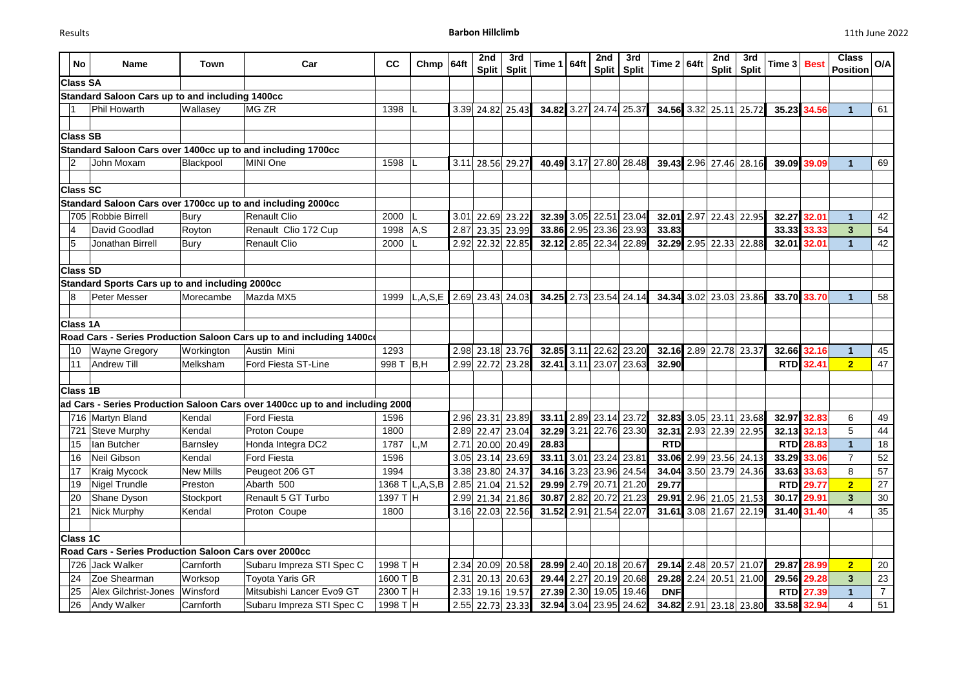| <b>No</b>       | <b>Name</b>                                            | <b>Town</b>      | Car                                                                          | cc               | Chmp                            | 64ft | 2nd<br><b>Split</b> | 3rd<br><b>Split</b> | Time $1 64ft$ |      | 2nd                    | 3rd<br>Split   Split   | Time $2 64ft$ |      | 2nd<br>Split           | 3rd<br><b>Split</b> | Time 3     | <b>Best</b>      | <b>Class</b><br><b>Position</b> | O/A             |
|-----------------|--------------------------------------------------------|------------------|------------------------------------------------------------------------------|------------------|---------------------------------|------|---------------------|---------------------|---------------|------|------------------------|------------------------|---------------|------|------------------------|---------------------|------------|------------------|---------------------------------|-----------------|
| <b>Class SA</b> |                                                        |                  |                                                                              |                  |                                 |      |                     |                     |               |      |                        |                        |               |      |                        |                     |            |                  |                                 |                 |
|                 | Standard Saloon Cars up to and including 1400cc        |                  |                                                                              |                  |                                 |      |                     |                     |               |      |                        |                        |               |      |                        |                     |            |                  |                                 |                 |
|                 | Phil Howarth                                           | Wallasey         | MG ZR                                                                        | 1398             |                                 | 3.39 | 24.82               | 25.43               | 34.82         |      | 3.27 24.74 25.37       |                        | 34.56         | 3.32 | 25.11                  | 25.72               | 35.23      | 34.56            |                                 | 61              |
|                 |                                                        |                  |                                                                              |                  |                                 |      |                     |                     |               |      |                        |                        |               |      |                        |                     |            |                  |                                 |                 |
| <b>Class SB</b> |                                                        |                  |                                                                              |                  |                                 |      |                     |                     |               |      |                        |                        |               |      |                        |                     |            |                  |                                 |                 |
|                 |                                                        |                  | Standard Saloon Cars over 1400cc up to and including 1700cc                  |                  |                                 |      |                     |                     |               |      |                        |                        |               |      |                        |                     |            |                  |                                 |                 |
|                 | John Moxam                                             | Blackpool        | MINI One                                                                     | 1598             |                                 | 3.11 | 28.56               | 29.27               | 40.49         | 3.17 |                        | 27.80 28.48            | 39.43         |      | 2.96 27.46 28.16       |                     | 39.09      | 39.09            | $\mathbf{1}$                    | 69              |
|                 |                                                        |                  |                                                                              |                  |                                 |      |                     |                     |               |      |                        |                        |               |      |                        |                     |            |                  |                                 |                 |
| <b>Class SC</b> |                                                        |                  |                                                                              |                  |                                 |      |                     |                     |               |      |                        |                        |               |      |                        |                     |            |                  |                                 |                 |
|                 |                                                        |                  | Standard Saloon Cars over 1700cc up to and including 2000cc                  |                  |                                 |      |                     |                     |               |      |                        |                        |               |      |                        |                     |            |                  |                                 |                 |
|                 | 705 Robbie Birrell                                     | Bury             | Renault Clio                                                                 | 2000             |                                 | 3.01 | 22.69               | 23.22               | 32.39         | 3.05 |                        | 22.51 23.04            | 32.01         | 2.97 | 22.43 22.95            |                     | 32.27      | 32.01            | $\mathbf 1$                     | 42              |
| 14              | David Goodlad                                          | Royton           | Renault Clio 172 Cup                                                         | 1998             | A, S                            | 2.87 | 23.35 23.99         |                     | 33.86         |      | 2.95 23.36 23.93       |                        | 33.83         |      |                        |                     | 33.33      | 33.33            | $\mathbf{3}$                    | 54              |
| 5               | Jonathan Birrell                                       | <b>Bury</b>      | Renault Clio                                                                 | 2000             |                                 | 2.92 | 22.32               | 22.85               | 32.12         | 2.85 |                        | 22.34 22.89            | 32.29         |      | 2.95 22.33 22.88       |                     | 32.01      | 32.01            | 1                               | 42              |
|                 |                                                        |                  |                                                                              |                  |                                 |      |                     |                     |               |      |                        |                        |               |      |                        |                     |            |                  |                                 |                 |
| <b>Class SD</b> |                                                        |                  |                                                                              |                  |                                 |      |                     |                     |               |      |                        |                        |               |      |                        |                     |            |                  |                                 |                 |
|                 | <b>Standard Sports Cars up to and including 2000cc</b> |                  |                                                                              |                  |                                 |      |                     |                     |               |      |                        |                        |               |      |                        |                     |            |                  |                                 |                 |
| 18              | Peter Messer                                           | Morecambe        | Mazda MX5                                                                    | 1999             | L,A,S,E 2.69 23.43 24.03        |      |                     |                     |               |      |                        | 34.25 2.73 23.54 24.14 |               |      | 34.34 3.02 23.03 23.86 |                     |            | 33.70 33.70      |                                 | 58              |
|                 |                                                        |                  |                                                                              |                  |                                 |      |                     |                     |               |      |                        |                        |               |      |                        |                     |            |                  |                                 |                 |
| <b>Class 1A</b> |                                                        |                  |                                                                              |                  |                                 |      |                     |                     |               |      |                        |                        |               |      |                        |                     |            |                  |                                 |                 |
|                 |                                                        |                  | Road Cars - Series Production Saloon Cars up to and including 1400c          |                  |                                 |      |                     |                     |               |      |                        |                        |               |      |                        |                     |            |                  |                                 |                 |
| 10              | <b>Wayne Gregory</b>                                   | Workington       | Austin Mini                                                                  | 1293             |                                 |      | 2.98 23.18 23.76    |                     | 32.85         | 3.11 |                        | 22.62 23.20            | 32.16         |      | 2.89 22.78 23.37       |                     | 32.66      | 32.16            |                                 | 45              |
| 11              | Andrew Till                                            | Melksham         | Ford Fiesta ST-Line                                                          | 998 T   B, H     |                                 | 2.99 | 22.72               | 23.28               | 32.41         | 3.11 |                        | 23.07 23.63            | 32.90         |      |                        |                     | <b>RTD</b> | 32.41            | 2 <sup>1</sup>                  | 47              |
|                 |                                                        |                  |                                                                              |                  |                                 |      |                     |                     |               |      |                        |                        |               |      |                        |                     |            |                  |                                 |                 |
| <b>Class 1B</b> |                                                        |                  |                                                                              |                  |                                 |      |                     |                     |               |      |                        |                        |               |      |                        |                     |            |                  |                                 |                 |
|                 |                                                        |                  | ad Cars - Series Production Saloon Cars over 1400cc up to and including 2000 |                  |                                 |      |                     |                     |               |      |                        |                        |               |      |                        |                     |            |                  |                                 |                 |
|                 | 716 Martyn Bland                                       | Kendal           | <b>Ford Fiesta</b>                                                           | 1596             |                                 | 2.96 | 23.31               | 23.89               | 33.11         |      | 2.89 23.14 23.72       |                        | 32.83         | 3.05 |                        | 23.11 23.68         | 32.97      | 32.83            | 6                               | 49              |
| 721             | Steve Murphy                                           | Kendal           | Proton Coupe                                                                 | 1800             |                                 | 2.89 | 22.47 23.04         |                     | 32.29         |      |                        | 3.21 22.76 23.30       | 32.31         |      | 2.93 22.39 22.95       |                     |            | 32.13 32.13      | 5                               | 44              |
| 15              | lan Butcher                                            | Barnsley         | Honda Integra DC2                                                            | 1787             | L, M                            | 2.71 | 20.00               | 20.49               | 28.83         |      |                        |                        | <b>RTD</b>    |      |                        |                     | <b>RTD</b> | 28.83            |                                 | 18              |
| 16              | Neil Gibson                                            | Kendal           | <b>Ford Fiesta</b>                                                           | 1596             |                                 | 3.05 | 23.14               | 23.69               | 33.11         | 3.01 |                        | 23.24 23.81            | 33.06         |      | 2.99 23.56 24.13       |                     | 33.29      | 33.06            | $\overline{7}$                  | 52              |
| 17              | <b>Kraig Mycock</b>                                    | <b>New Mills</b> | Peugeot 206 GT                                                               | 1994             |                                 | 3.38 | 23.80               | 24.37               | 34.16         | 3.23 |                        | 23.96 24.54            |               |      | 34.04 3.50 23.79 24.36 |                     | 33.63      | 33.63            | 8                               | 57              |
| 19              | Nigel Trundle                                          | Preston          | Abarth 500                                                                   |                  | 1368 T L,A,S,B 2.85 21.04 21.52 |      |                     |                     |               |      |                        | 29.99 2.79 20.71 21.20 | 29.77         |      |                        |                     |            | <b>RTD</b> 29.77 | $\overline{2}$                  | 27              |
| 20              | Shane Dyson                                            | Stockport        | Renault 5 GT Turbo                                                           | 1397 T $ H $     |                                 |      | 2.99 21.34 21.86    |                     |               |      |                        | 30.87 2.82 20.72 21.23 |               |      | 29.91 2.96 21.05 21.53 |                     |            | 30.17 29.91      | 3 <sup>5</sup>                  | 30              |
| 21              | Nick Murphy                                            | Kendal           | Proton Coupe                                                                 | 1800             |                                 |      | 3.16 22.03 22.56    |                     |               |      | 31.52 2.91 21.54 22.07 |                        |               |      | 31.61 3.08 21.67 22.19 |                     |            | 31.40 31.40      |                                 | 35              |
|                 |                                                        |                  |                                                                              |                  |                                 |      |                     |                     |               |      |                        |                        |               |      |                        |                     |            |                  |                                 |                 |
| <b>Class 1C</b> |                                                        |                  |                                                                              |                  |                                 |      |                     |                     |               |      |                        |                        |               |      |                        |                     |            |                  |                                 |                 |
|                 | Road Cars - Series Production Saloon Cars over 2000cc  |                  |                                                                              |                  |                                 |      |                     |                     |               |      |                        |                        |               |      |                        |                     |            |                  |                                 |                 |
|                 | 726 Jack Walker                                        | Carnforth        | Subaru Impreza STI Spec C                                                    | 1998 T $ H $     |                                 |      | 2.34 20.09 20.58    |                     |               |      | 28.99 2.40 20.18 20.67 |                        |               |      | 29.14 2.48 20.57 21.07 |                     |            | 29.87 28.99      | $\overline{2}$                  | 20              |
| 24              | Zoe Shearman                                           | Worksop          | <b>Toyota Yaris GR</b>                                                       | 1600 T $\vert$ B |                                 |      | 2.31 20.13 20.63    |                     |               |      |                        | 29.44 2.27 20.19 20.68 |               |      | 29.28 2.24 20.51 21.00 |                     |            | 29.56 29.28      | $3\phantom{a}$                  | 23              |
| 25              | Alex Gilchrist-Jones                                   | Winsford         | Mitsubishi Lancer Evo9 GT                                                    | 2300 T $ H $     |                                 |      | 2.33 19.16 19.57    |                     |               |      |                        | 27.39 2.30 19.05 19.46 | <b>DNF</b>    |      |                        |                     |            | RTD 27.39        | $\mathbf 1$                     | $7\overline{ }$ |
| 26              | Andy Walker                                            | Carnforth        | Subaru Impreza STI Spec C                                                    | 1998 T $ H $     |                                 |      | 2.55 22.73 23.33    |                     |               |      |                        | 32.94 3.04 23.95 24.62 |               |      | 34.82 2.91 23.18 23.80 |                     |            | 33.58 32.94      | 4                               | 51              |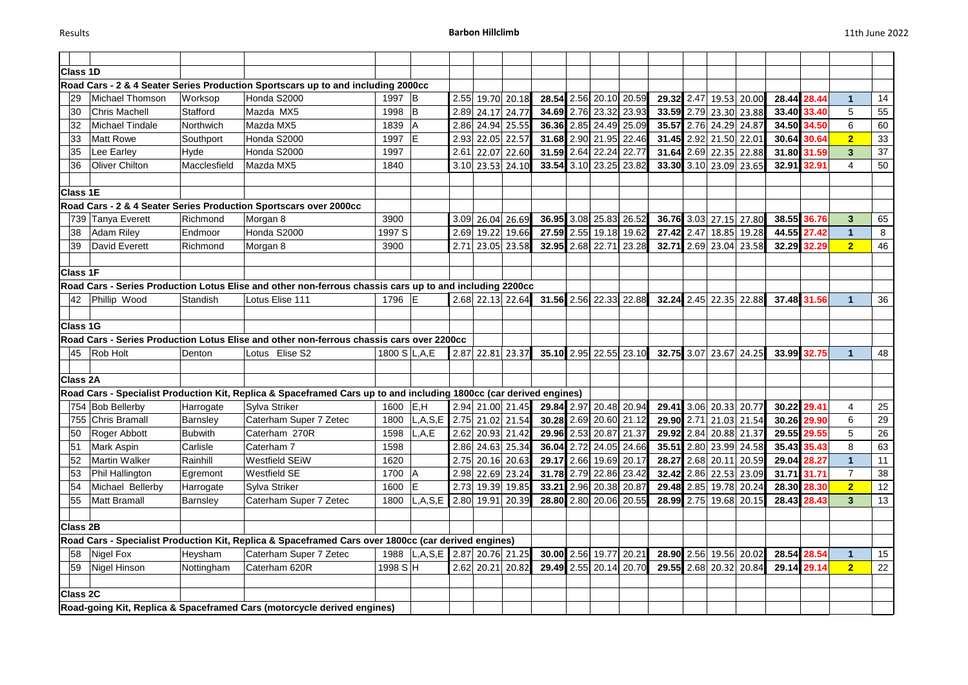| <b>Class 1D</b>                                                                          |                                                                                                         |              |                                                                                                                    |                |                                          |                  |                  |                  |            |                        |                        |              |      |       |                        |       |             |                |    |
|------------------------------------------------------------------------------------------|---------------------------------------------------------------------------------------------------------|--------------|--------------------------------------------------------------------------------------------------------------------|----------------|------------------------------------------|------------------|------------------|------------------|------------|------------------------|------------------------|--------------|------|-------|------------------------|-------|-------------|----------------|----|
|                                                                                          | Road Cars - 2 & 4 Seater Series Production Sportscars up to and including 2000cc                        |              |                                                                                                                    |                |                                          |                  |                  |                  |            |                        |                        |              |      |       |                        |       |             |                |    |
| 29                                                                                       | Michael Thomson                                                                                         | Worksop      | Honda S2000                                                                                                        | 1997<br>ΙB     |                                          | 2.55 19.70 20.18 |                  |                  | 28.54      | 2.56 20.10 20.59       | 29.32                  |              | 2.47 |       | 19.53 20.00            | 28.44 | 28.44       | $\mathbf 1$    | 14 |
| 30                                                                                       | <b>Chris Machell</b>                                                                                    | Stafford     | Mazda MX5                                                                                                          | 1998           | ΙB                                       | 2.89             |                  | 24.17 24.77      |            | 34.69 2.76 23.32       | 23.93                  | 33.59 2.79   |      |       | 23.30 23.88            | 33.40 | 33.40       | 5              | 55 |
| 32                                                                                       | <b>Michael Tindale</b>                                                                                  | Northwich    | Mazda MX5                                                                                                          | 1839           |                                          | 2.86             |                  | 24.94 25.55      |            | 36.36 2.85 24.49 25.09 |                        | 35.57 2.76   |      |       | 24.29 24.87            | 34.50 | 34.50       | 6              | 60 |
| 33                                                                                       | <b>Matt Rowe</b>                                                                                        | Southport    | Honda S2000                                                                                                        | 1997           | ΙE                                       | 2.93             |                  | 22.05 22.57      |            | 31.68 2.90 21.95       | 22.46                  | 31.45 2.92   |      |       | 21.50 22.01            | 30.64 | 30.64       | 2 <sub>2</sub> | 33 |
| 35                                                                                       | Lee Earley                                                                                              | Hyde         | Honda S2000                                                                                                        | 1997           |                                          | 2.61             |                  | 22.07 22.60      |            | 31.59 2.64 22.24       | 22.77                  | 31.64 2.69   |      |       | 22.35 22.88            | 31.80 | 31.59       | $\mathbf{3}$   | 37 |
| 36                                                                                       | <b>Oliver Chilton</b>                                                                                   | Macclesfield | Mazda MX5                                                                                                          | 1840           |                                          |                  |                  | 3.10 23.53 24.10 |            | 33.54 3.10 23.25       | 23.82                  | 33.30 3.10   |      |       | 23.09 23.65            |       | 32.91 32.91 | 4              | 50 |
|                                                                                          |                                                                                                         |              |                                                                                                                    |                |                                          |                  |                  |                  |            |                        |                        |              |      |       |                        |       |             |                |    |
| <b>Class 1E</b>                                                                          |                                                                                                         |              |                                                                                                                    |                |                                          |                  |                  |                  |            |                        |                        |              |      |       |                        |       |             |                |    |
|                                                                                          |                                                                                                         |              | Road Cars - 2 & 4 Seater Series Production Sportscars over 2000cc                                                  |                |                                          |                  |                  |                  |            |                        |                        |              |      |       |                        |       |             |                |    |
|                                                                                          | 739 Tanya Everett                                                                                       | Richmond     | Morgan 8                                                                                                           | 3900           |                                          |                  | 3.09 26.04 26.69 |                  |            | 36.95 3.08 25.83 26.52 |                        | 36.76 3.03   |      |       | 27.15 27.80            | 38.55 | 36.76       | $\mathbf{3}$   | 65 |
| 38                                                                                       | <b>Adam Riley</b>                                                                                       | Endmoor      | Honda S2000                                                                                                        | 1997 S         |                                          | 2.69             |                  | 19.22 19.66      | 27.59 2.55 |                        | 19.18 19.62            | 27.42 2.47   |      |       | 18.85 19.28            | 44.55 | 27.42       |                | 8  |
| 39                                                                                       | David Everett                                                                                           | Richmond     | Morgan 8                                                                                                           | 3900           |                                          | 2.71             |                  | 23.05 23.58      | 32.95      | 2.68 22.71             | 23.28                  | 32.71        | 2.69 |       | 23.04 23.58            | 32.29 | 32.29       | 2 <sub>2</sub> | 46 |
|                                                                                          |                                                                                                         |              |                                                                                                                    |                |                                          |                  |                  |                  |            |                        |                        |              |      |       |                        |       |             |                |    |
| <b>Class 1F</b>                                                                          |                                                                                                         |              |                                                                                                                    |                |                                          |                  |                  |                  |            |                        |                        |              |      |       |                        |       |             |                |    |
|                                                                                          | Road Cars - Series Production Lotus Elise and other non-ferrous chassis cars up to and including 2200cc |              |                                                                                                                    |                |                                          |                  |                  |                  |            |                        |                        |              |      |       |                        |       |             |                |    |
| 42                                                                                       | Phillip Wood                                                                                            | Standish     | Lotus Elise 111                                                                                                    | 1796 E         |                                          |                  |                  | 2.68 22.13 22.64 |            |                        | 31.56 2.56 22.33 22.88 | $32.24$ 2.45 |      |       | 22.35 22.88            |       | 37.48 31.56 | $\mathbf 1$    | 36 |
|                                                                                          |                                                                                                         |              |                                                                                                                    |                |                                          |                  |                  |                  |            |                        |                        |              |      |       |                        |       |             |                |    |
| <b>Class 1G</b>                                                                          |                                                                                                         |              |                                                                                                                    |                |                                          |                  |                  |                  |            |                        |                        |              |      |       |                        |       |             |                |    |
| Road Cars - Series Production Lotus Elise and other non-ferrous chassis cars over 2200cc |                                                                                                         |              |                                                                                                                    |                |                                          |                  |                  |                  |            |                        |                        |              |      |       |                        |       |             |                |    |
| 45                                                                                       | Rob Holt                                                                                                | Denton       | Lotus Elise S2                                                                                                     | 1800 S L, A, E |                                          |                  |                  | 2.87 22.81 23.37 |            |                        | 35.10 2.95 22.55 23.10 |              |      |       | 32.75 3.07 23.67 24.25 |       | 33.99 32.75 |                | 48 |
|                                                                                          |                                                                                                         |              |                                                                                                                    |                |                                          |                  |                  |                  |            |                        |                        |              |      |       |                        |       |             |                |    |
| <b>Class 2A</b>                                                                          |                                                                                                         |              |                                                                                                                    |                |                                          |                  |                  |                  |            |                        |                        |              |      |       |                        |       |             |                |    |
|                                                                                          |                                                                                                         |              | Road Cars - Specialist Production Kit, Replica & Spaceframed Cars up to and including 1800cc (car derived engines) |                |                                          |                  |                  |                  |            |                        |                        |              |      |       |                        |       |             |                |    |
|                                                                                          | 754 Bob Bellerby                                                                                        | Harrogate    | Sylva Striker                                                                                                      | 1600           | E, H                                     |                  |                  | 2.94 21.00 21.45 |            |                        | 29.84 2.97 20.48 20.94 | 29.41 3.06   |      |       | 20.33 20.77            | 30.22 | 29.41       | 4              | 25 |
| 755                                                                                      | Chris Bramall                                                                                           | Barnsley     | Caterham Super 7 Zetec                                                                                             | 1800           | $ L, A, S, E $ 2.75                      |                  |                  | 21.02 21.54      |            | 30.28 2.69 20.60 21.12 |                        | 29.90        | 2.71 |       | 21.03 21.54            | 30.26 | 29.90       | 6              | 29 |
| 50                                                                                       | Roger Abbott                                                                                            | Bubwith      | Caterham 270R                                                                                                      | 1598           | L, A, E                                  | 2.62             |                  | 20.93 21.42      | 29.96 2.53 | 20.87                  | 21.37                  | 29.92        | 2.84 | 20.88 | 21.37                  | 29.55 | 29.55       | 5              | 26 |
| 51                                                                                       | Mark Aspin                                                                                              | Carlisle     | Caterham 7                                                                                                         | 1598           |                                          |                  |                  | 2.86 24.63 25.34 |            | 36.04 2.72 24.05 24.66 |                        | 35.51 2.80   |      |       | 23.99 24.58            | 35.43 | 35.43       | 8              | 63 |
|                                                                                          | <b>Martin Walker</b>                                                                                    | Rainhill     | <b>Westfield SEiW</b>                                                                                              | 1620           |                                          | 2.75             |                  | 20.16 20.63      | 29.17 2.66 | 19.69                  | 20.17                  | 28.27 2.68   |      | 20.11 | 20.59                  |       | 29.04 28.27 |                | 11 |
| 53                                                                                       | Phil Hallington                                                                                         | Egremont     | <b>Westfield SE</b>                                                                                                | 1700 $ A $     |                                          | $2$ QR           |                  | 2.98 22.69 23.24 |            | 31.78 2.79 22.86 23.42 |                        |              |      |       | 32.42 2.86 22.53 23.09 |       | 31.71 31.71 | $\overline{7}$ | 38 |
| 54                                                                                       | Michael Bellerby                                                                                        | Harrogate    | Sylva Striker                                                                                                      | 1600 $ E $     |                                          |                  | 2.73 19.39 19.85 |                  |            | 33.21 2.96 20.38 20.87 |                        |              |      |       | 29.48 2.85 19.78 20.24 | 28.30 | 28.30       | 2 <sub>2</sub> | 12 |
| 55                                                                                       | Matt Bramall                                                                                            | Barnsley     | Caterham Super 7 Zetec                                                                                             | 1800           | $ L, A, S, E $ 2.80 19.91 20.39          |                  |                  |                  |            | 28.80 2.80 20.06 20.55 |                        |              |      |       | 28.99 2.75 19.68 20.15 |       | 28.43 28.43 | 3 <sup>2</sup> | 13 |
|                                                                                          |                                                                                                         |              |                                                                                                                    |                |                                          |                  |                  |                  |            |                        |                        |              |      |       |                        |       |             |                |    |
| <b>Class 2B</b>                                                                          |                                                                                                         |              |                                                                                                                    |                |                                          |                  |                  |                  |            |                        |                        |              |      |       |                        |       |             |                |    |
|                                                                                          | Road Cars - Specialist Production Kit, Replica & Spaceframed Cars over 1800cc (car derived engines)     |              |                                                                                                                    |                |                                          |                  |                  |                  |            |                        |                        |              |      |       |                        |       |             |                |    |
| 58                                                                                       | Nigel Fox                                                                                               | Heysham      | Caterham Super 7 Zetec                                                                                             |                | 1988   L, A, S, E   2.87   20.76   21.25 |                  |                  |                  |            | 30.00 2.56 19.77 20.21 |                        |              |      |       | 28.90 2.56 19.56 20.02 |       | 28.54 28.54 |                | 15 |
| 59                                                                                       | Nigel Hinson                                                                                            | Nottingham   | Caterham 620R                                                                                                      | 1998 S H       |                                          |                  |                  | 2.62 20.21 20.82 |            |                        | 29.49 2.55 20.14 20.70 |              |      |       | 29.55 2.68 20.32 20.84 |       | 29.14 29.14 | $\overline{2}$ | 22 |
|                                                                                          |                                                                                                         |              |                                                                                                                    |                |                                          |                  |                  |                  |            |                        |                        |              |      |       |                        |       |             |                |    |
| <b>Class 2C</b>                                                                          |                                                                                                         |              |                                                                                                                    |                |                                          |                  |                  |                  |            |                        |                        |              |      |       |                        |       |             |                |    |
|                                                                                          | Road-going Kit, Replica & Spaceframed Cars (motorcycle derived engines)                                 |              |                                                                                                                    |                |                                          |                  |                  |                  |            |                        |                        |              |      |       |                        |       |             |                |    |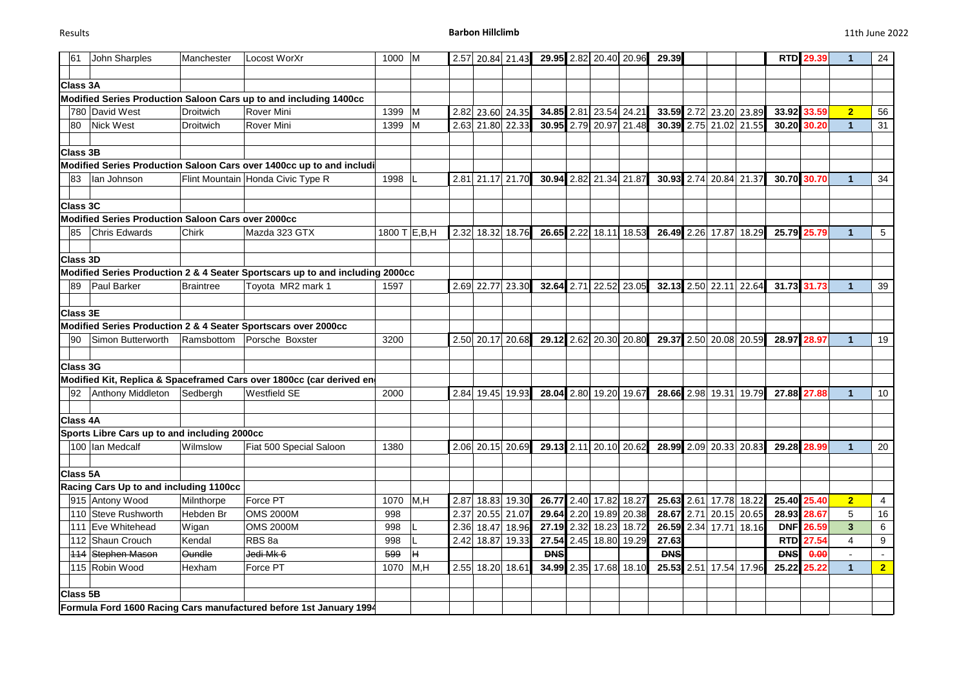| John Sharples<br>61                                | Manchester       | Locost WorXr                                                                  | 1000           | M   | 2.57 |                  | 20.84 21.43      |            |      |                        | 29.95 2.82 20.40 20.96 | 29.39      |      |                        |                        |            | <b>RTD</b> 29.39 |                      | 24              |
|----------------------------------------------------|------------------|-------------------------------------------------------------------------------|----------------|-----|------|------------------|------------------|------------|------|------------------------|------------------------|------------|------|------------------------|------------------------|------------|------------------|----------------------|-----------------|
|                                                    |                  |                                                                               |                |     |      |                  |                  |            |      |                        |                        |            |      |                        |                        |            |                  |                      |                 |
| <b>Class 3A</b>                                    |                  |                                                                               |                |     |      |                  |                  |            |      |                        |                        |            |      |                        |                        |            |                  |                      |                 |
|                                                    |                  | Modified Series Production Saloon Cars up to and including 1400cc             |                |     |      |                  |                  |            |      |                        |                        |            |      |                        |                        |            |                  |                      |                 |
| 780 David West                                     | <b>Droitwich</b> | <b>Rover Mini</b>                                                             | 1399           | M   | 2.82 |                  | 23.60 24.35      | 34.85 2.81 |      |                        | 23.54 24.21            | 33.59 2.72 |      |                        | 23.20 23.89            |            | 33.92 33.59      | $\overline{2}$       | 56              |
| <b>Nick West</b><br>80                             | Droitwich        | <b>Rover Mini</b>                                                             | 1399           | M   |      |                  | 2.63 21.80 22.33 |            |      |                        | 30.95 2.79 20.97 21.48 |            |      |                        | 30.39 2.75 21.02 21.55 | 30.20      | 30.20            |                      | 31              |
| <b>Class 3B</b>                                    |                  |                                                                               |                |     |      |                  |                  |            |      |                        |                        |            |      |                        |                        |            |                  |                      |                 |
|                                                    |                  | Modified Series Production Saloon Cars over 1400cc up to and includi          |                |     |      |                  |                  |            |      |                        |                        |            |      |                        |                        |            |                  |                      |                 |
| lan Johnson<br>83                                  |                  | Flint Mountain Honda Civic Type R                                             | 1998           |     | 2.81 |                  | 21.17 21.70      |            |      | 30.94 2.82 21.34 21.87 |                        | 30.93 2.74 |      |                        | 20.84 21.37            | 30.70      | 30.70            |                      | 34              |
| <b>Class 3C</b>                                    |                  |                                                                               |                |     |      |                  |                  |            |      |                        |                        |            |      |                        |                        |            |                  |                      |                 |
| Modified Series Production Saloon Cars over 2000cc |                  |                                                                               |                |     |      |                  |                  |            |      |                        |                        |            |      |                        |                        |            |                  |                      |                 |
| <b>Chris Edwards</b><br>85                         | Chirk            | Mazda 323 GTX                                                                 | 1800 T $E,B,H$ |     | 2.32 |                  | 18.32 18.76      | 26.65 2.22 |      | 18.11                  | 18.53                  |            |      |                        | 26.49 2.26 17.87 18.29 | 25.79      | 25.79            |                      | 5 <sub>5</sub>  |
|                                                    |                  |                                                                               |                |     |      |                  |                  |            |      |                        |                        |            |      |                        |                        |            |                  |                      |                 |
| <b>Class 3D</b>                                    |                  |                                                                               |                |     |      |                  |                  |            |      |                        |                        |            |      |                        |                        |            |                  |                      |                 |
|                                                    |                  | Modified Series Production 2 & 4 Seater Sportscars up to and including 2000cc |                |     |      |                  |                  |            |      |                        |                        |            |      |                        |                        |            |                  |                      |                 |
| Paul Barker<br>89                                  | <b>Braintree</b> | Toyota MR2 mark 1                                                             | 1597           |     | 2.69 |                  | 22.77 23.30      | 32.64      | 2.71 | 22.52                  | 23.05                  | 32.13 2.50 |      | 22.11                  | 22.64                  |            | 31.73 31.73      |                      | 39              |
| <b>Class 3E</b>                                    |                  |                                                                               |                |     |      |                  |                  |            |      |                        |                        |            |      |                        |                        |            |                  |                      |                 |
|                                                    |                  | Modified Series Production 2 & 4 Seater Sportscars over 2000cc                |                |     |      |                  |                  |            |      |                        |                        |            |      |                        |                        |            |                  |                      |                 |
| Simon Butterworth<br>90                            | Ramsbottom       | Porsche Boxster                                                               | 3200           |     | 2.50 |                  | 20.17 20.68      |            |      |                        | 29.12 2.62 20.30 20.80 | 29.37      | 2.50 |                        | 20.08 20.59            | 28.97      | 28.97            |                      | 19              |
|                                                    |                  |                                                                               |                |     |      |                  |                  |            |      |                        |                        |            |      |                        |                        |            |                  |                      |                 |
| <b>Class 3G</b>                                    |                  |                                                                               |                |     |      |                  |                  |            |      |                        |                        |            |      |                        |                        |            |                  |                      |                 |
|                                                    |                  | Modified Kit, Replica & Spaceframed Cars over 1800cc (car derived en          |                |     |      |                  |                  |            |      |                        |                        |            |      |                        |                        |            |                  |                      |                 |
| Anthony Middleton<br>92                            | Sedbergh         | <b>Westfield SE</b>                                                           | 2000           |     |      | 2.84 19.45 19.93 |                  | 28.04      |      | 2.80 19.20             | 19.67                  |            |      | 28.66 2.98 19.31       | 19.79                  | 27.88      | 27.88            | $\blacktriangleleft$ | 10 <sup>°</sup> |
| <b>Class 4A</b>                                    |                  |                                                                               |                |     |      |                  |                  |            |      |                        |                        |            |      |                        |                        |            |                  |                      |                 |
| Sports Libre Cars up to and including 2000cc       |                  |                                                                               |                |     |      |                  |                  |            |      |                        |                        |            |      |                        |                        |            |                  |                      |                 |
| 100 Ian Medcalf                                    | Wilmslow         | Fiat 500 Special Saloon                                                       | 1380           |     | 2.06 |                  | 20.15 20.69      | 29.13 2.11 |      |                        | 20.10 20.62            | 28.99 2.09 |      |                        | 20.33 20.83            | 29.28      | 28.99            |                      | 20              |
| <b>Class 5A</b>                                    |                  |                                                                               |                |     |      |                  |                  |            |      |                        |                        |            |      |                        |                        |            |                  |                      |                 |
| Racing Cars Up to and including 1100cc             |                  |                                                                               |                |     |      |                  |                  |            |      |                        |                        |            |      |                        |                        |            |                  |                      |                 |
| 915 Antony Wood                                    | Milnthorpe       | Force PT                                                                      | 1070           | M,H | 2.87 |                  | 18.83 19.30      | 26.77      |      |                        | 2.40 17.82 18.27       |            |      | 25.63 2.61 17.78 18.22 |                        |            | 25.40 25.40      | $\overline{2}$       | $\overline{4}$  |
| 110 Steve Rushworth                                | Hebden Br        | <b>OMS 2000M</b>                                                              | 998            |     |      |                  | 2.37 20.55 21.07 |            |      |                        | 29.64 2.20 19.89 20.38 |            |      |                        | 28.67 2.71 20.15 20.65 |            | 28.93 28.67      | 5                    | 16              |
| 111 Eve Whitehead                                  | Wigan            | <b>OMS 2000M</b>                                                              | 998            |     |      |                  | 2.36 18.47 18.96 |            |      |                        | 27.19 2.32 18.23 18.72 |            |      |                        | 26.59 2.34 17.71 18.16 |            | <b>DNF</b> 26.59 | 3                    | 6               |
| 112 Shaun Crouch                                   | Kendal           | RBS <sub>8a</sub>                                                             | 998            |     | 2.42 |                  | 18.87 19.33      |            |      |                        | 27.54 2.45 18.80 19.29 | 27.63      |      |                        |                        | <b>RTD</b> | 27.54            | 4                    | 9               |
| 114 Stephen Mason                                  | Oundle           | Jedi Mk 6                                                                     | 599            | Ħ   |      |                  |                  | <b>DNS</b> |      |                        |                        | <b>DNS</b> |      |                        |                        | <b>DNS</b> | 0.00             |                      |                 |
| 115 Robin Wood                                     | Hexham           | Force PT                                                                      | 1070           | M,H |      | 2.55 18.20 18.61 |                  |            |      |                        | 34.99 2.35 17.68 18.10 |            |      |                        | 25.53 2.51 17.54 17.96 | 25.22      | 25.22            | 1.                   | 2 <sub>1</sub>  |
|                                                    |                  |                                                                               |                |     |      |                  |                  |            |      |                        |                        |            |      |                        |                        |            |                  |                      |                 |
| <b>Class 5B</b>                                    |                  |                                                                               |                |     |      |                  |                  |            |      |                        |                        |            |      |                        |                        |            |                  |                      |                 |
|                                                    |                  | Formula Ford 1600 Racing Cars manufactured before 1st January 1994            |                |     |      |                  |                  |            |      |                        |                        |            |      |                        |                        |            |                  |                      |                 |